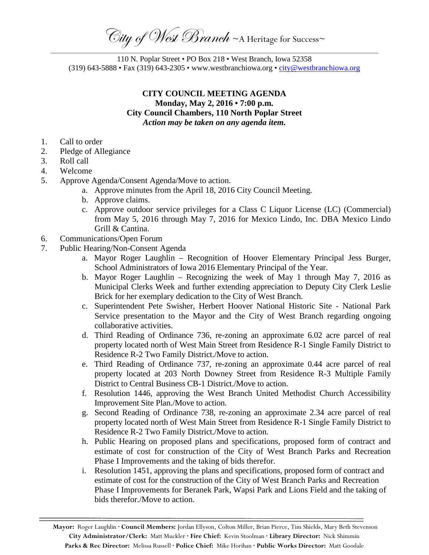City of West Branch ~ A Heritage for Success~

\_\_\_\_\_\_\_\_\_\_\_\_\_\_\_\_\_\_\_\_\_\_\_\_\_\_\_\_\_\_\_\_\_\_\_\_\_\_\_\_\_\_\_\_\_\_\_\_\_\_\_\_\_\_\_\_\_\_\_\_\_\_\_\_\_\_\_\_\_\_\_\_\_\_\_\_\_\_\_\_\_\_\_\_\_\_\_\_\_\_\_\_\_\_\_\_\_\_\_\_\_\_\_\_\_\_\_\_\_\_\_\_\_\_\_\_\_ 110 N. Poplar Street • PO Box 218 • West Branch, Iowa 52358 (319) 643-5888 • Fax (319) 643-2305 • www.westbranchiowa.org • [city@westbranchiowa.org](mailto:city@westbranchiowa.org)

## **CITY COUNCIL MEETING AGENDA Monday, May 2, 2016 • 7:00 p.m. City Council Chambers, 110 North Poplar Street** *Action may be taken on any agenda item.*

- 1. Call to order
- 2. Pledge of Allegiance
- 3. Roll call
- 4. Welcome
- 5. Approve Agenda/Consent Agenda/Move to action.
	- a. Approve minutes from the April 18, 2016 City Council Meeting.
	- b. Approve claims.
	- c. Approve outdoor service privileges for a Class C Liquor License (LC) (Commercial) from May 5, 2016 through May 7, 2016 for Mexico Lindo, Inc. DBA Mexico Lindo Grill & Cantina.
- 6. Communications/Open Forum
- 7. Public Hearing/Non-Consent Agenda
	- a. Mayor Roger Laughlin Recognition of Hoover Elementary Principal Jess Burger, School Administrators of Iowa 2016 Elementary Principal of the Year.
	- b. Mayor Roger Laughlin Recognizing the week of May 1 through May 7, 2016 as Municipal Clerks Week and further extending appreciation to Deputy City Clerk Leslie Brick for her exemplary dedication to the City of West Branch.
	- c. Superintendent Pete Swisher, Herbert Hoover National Historic Site National Park Service presentation to the Mayor and the City of West Branch regarding ongoing collaborative activities.
	- d. Third Reading of Ordinance 736, re-zoning an approximate 6.02 acre parcel of real property located north of West Main Street from Residence R-1 Single Family District to Residence R-2 Two Family District./Move to action.
	- e. Third Reading of Ordinance 737, re-zoning an approximate 0.44 acre parcel of real property located at 203 North Downey Street from Residence R-3 Multiple Family District to Central Business CB-1 District./Move to action.
	- f. Resolution 1446, approving the West Branch United Methodist Church Accessibility Improvement Site Plan./Move to action.
	- g. Second Reading of Ordinance 738, re-zoning an approximate 2.34 acre parcel of real property located north of West Main Street from Residence R-1 Single Family District to Residence R-2 Two Family District./Move to action.
	- h. Public Hearing on proposed plans and specifications, proposed form of contract and estimate of cost for construction of the City of West Branch Parks and Recreation Phase I Improvements and the taking of bids therefor.
	- i. Resolution 1451, approving the plans and specifications, proposed form of contract and estimate of cost for the construction of the City of West Branch Parks and Recreation Phase I Improvements for Beranek Park, Wapsi Park and Lions Field and the taking of bids therefor./Move to action.

**Mayor:** Roger Laughlin **· Council Members:** Jordan Ellyson, Colton Miller, Brian Pierce, Tim Shields, Mary Beth Stevenson **City Administrator/Clerk:** Matt Muckler **· Fire Chief:** Kevin Stoolman **· Library Director:** Nick Shimmin **Parks & Rec Director:** Melissa Russell **· Police Chief:** Mike Horihan **· Public Works Director:** Matt Goodale